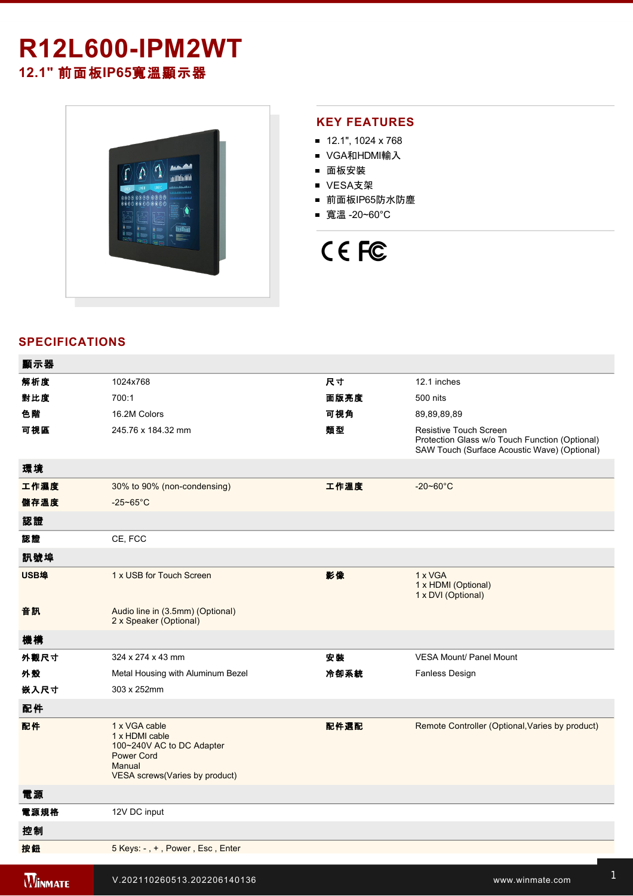# **R12L600-IPM2WT 12.1"** 前面板**IP65**寬溫顯示器



#### **KEY FEATURES**

- 12.1", 1024 x 768
- VGA和HDMI輸入
- 面板安裝
- VESA支架
- 前面板IP65防水防塵
- 寬溫 -20~60°C



### **SPECIFICATIONS**

| 顯示器            |                                                                                                                                |      |                                                                                                                          |
|----------------|--------------------------------------------------------------------------------------------------------------------------------|------|--------------------------------------------------------------------------------------------------------------------------|
| 解析度            | 1024x768                                                                                                                       | 尺寸   | 12.1 inches                                                                                                              |
| 對比度            | 700:1                                                                                                                          | 面版亮度 | 500 nits                                                                                                                 |
| 色階             | 16.2M Colors                                                                                                                   | 可視角  | 89,89,89,89                                                                                                              |
| 可視區            | 245.76 x 184.32 mm                                                                                                             | 類型   | Resistive Touch Screen<br>Protection Glass w/o Touch Function (Optional)<br>SAW Touch (Surface Acoustic Wave) (Optional) |
| 環境             |                                                                                                                                |      |                                                                                                                          |
| 工作濕度           | 30% to 90% (non-condensing)                                                                                                    | 工作溫度 | $-20 - 60^{\circ}$ C                                                                                                     |
| 儲存溫度           | $-25 - 65$ °C                                                                                                                  |      |                                                                                                                          |
| 認證             |                                                                                                                                |      |                                                                                                                          |
| 認證             | CE, FCC                                                                                                                        |      |                                                                                                                          |
| 訊號埠            |                                                                                                                                |      |                                                                                                                          |
| USB埠           | 1 x USB for Touch Screen                                                                                                       | 影像   | 1 x VGA<br>1 x HDMI (Optional)<br>1 x DVI (Optional)                                                                     |
| 音訊             | Audio line in (3.5mm) (Optional)<br>2 x Speaker (Optional)                                                                     |      |                                                                                                                          |
| 機構             |                                                                                                                                |      |                                                                                                                          |
| 外觀尺寸           | 324 x 274 x 43 mm                                                                                                              | 安裝   | <b>VESA Mount/ Panel Mount</b>                                                                                           |
| 外殼             | Metal Housing with Aluminum Bezel                                                                                              | 冷卻系統 | Fanless Design                                                                                                           |
| 嵌入尺寸           | 303 x 252mm                                                                                                                    |      |                                                                                                                          |
| 配件             |                                                                                                                                |      |                                                                                                                          |
| 配件             | 1 x VGA cable<br>1 x HDMI cable<br>100~240V AC to DC Adapter<br><b>Power Cord</b><br>Manual<br>VESA screws (Varies by product) | 配件選配 | Remote Controller (Optional, Varies by product)                                                                          |
| 電源             |                                                                                                                                |      |                                                                                                                          |
| 電源規格           | 12V DC input                                                                                                                   |      |                                                                                                                          |
| 控制             |                                                                                                                                |      |                                                                                                                          |
| 按鈕             | 5 Keys: -, +, Power, Esc, Enter                                                                                                |      |                                                                                                                          |
| <b>WINMATE</b> | V.202110260513.202206140136                                                                                                    |      | www.winmate.com                                                                                                          |